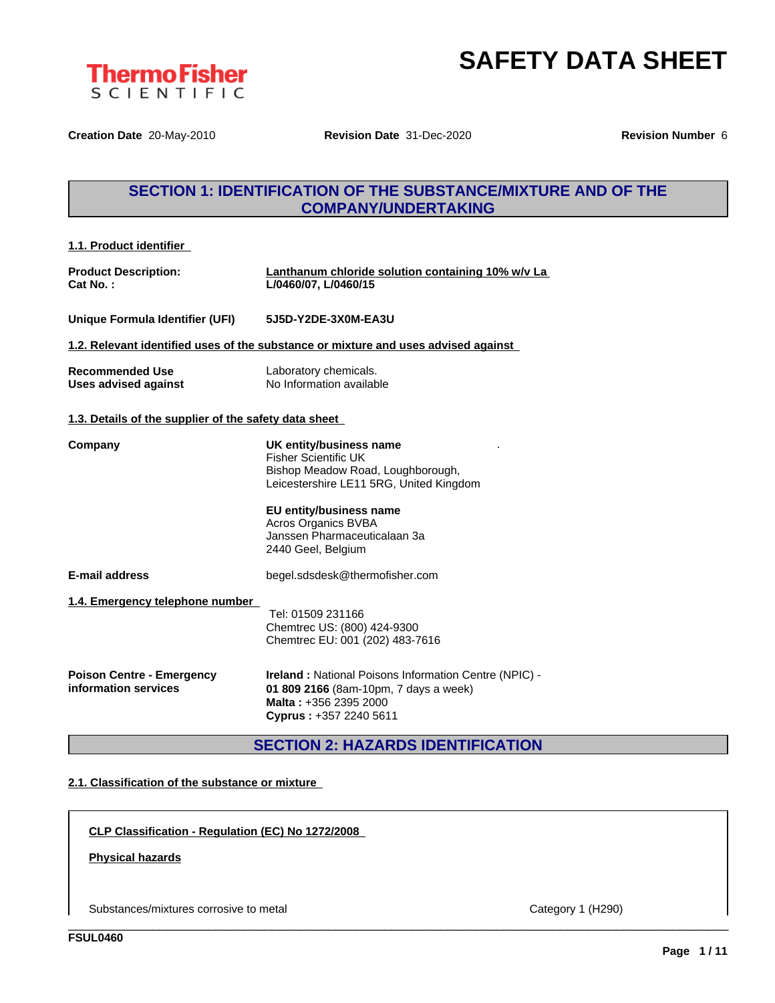

**Creation Date** 20-May-2010 **Revision Date** 31-Dec-2020 **Revision Number** 6

## **SECTION 1: IDENTIFICATION OF THE SUBSTANCE/MIXTURE AND OF THE COMPANY/UNDERTAKING**

| 1.1. Product identifier                                  |                                                                                                                                                                                                                                                |
|----------------------------------------------------------|------------------------------------------------------------------------------------------------------------------------------------------------------------------------------------------------------------------------------------------------|
| <b>Product Description:</b><br>Cat No. :                 | Lanthanum chloride solution containing 10% w/v La<br>L/0460/07, L/0460/15                                                                                                                                                                      |
| Unique Formula Identifier (UFI)                          | 5J5D-Y2DE-3X0M-EA3U                                                                                                                                                                                                                            |
|                                                          | 1.2. Relevant identified uses of the substance or mixture and uses advised against                                                                                                                                                             |
| <b>Recommended Use</b><br><b>Uses advised against</b>    | Laboratory chemicals.<br>No Information available                                                                                                                                                                                              |
| 1.3. Details of the supplier of the safety data sheet    |                                                                                                                                                                                                                                                |
| Companv                                                  | UK entity/business name<br><b>Fisher Scientific UK</b><br>Bishop Meadow Road, Loughborough,<br>Leicestershire LE11 5RG, United Kingdom<br>EU entity/business name<br>Acros Organics BVBA<br>Janssen Pharmaceuticalaan 3a<br>2440 Geel, Belgium |
| <b>E-mail address</b>                                    | begel.sdsdesk@thermofisher.com                                                                                                                                                                                                                 |
| 1.4. Emergency telephone number                          | Tel: 01509 231166<br>Chemtrec US: (800) 424-9300<br>Chemtrec EU: 001 (202) 483-7616                                                                                                                                                            |
| <b>Poison Centre - Emergency</b><br>information services | <b>Ireland: National Poisons Information Centre (NPIC) -</b><br>01 809 2166 (8am-10pm, 7 days a week)<br>Malta: +356 2395 2000<br>Cyprus: +357 2240 5611                                                                                       |

**SECTION 2: HAZARDS IDENTIFICATION**

\_\_\_\_\_\_\_\_\_\_\_\_\_\_\_\_\_\_\_\_\_\_\_\_\_\_\_\_\_\_\_\_\_\_\_\_\_\_\_\_\_\_\_\_\_\_\_\_\_\_\_\_\_\_\_\_\_\_\_\_\_\_\_\_\_\_\_\_\_\_\_\_\_\_\_\_\_\_\_\_\_\_\_\_\_\_\_\_\_\_\_\_\_\_

### **2.1. Classification of the substance or mixture**

**CLP Classification - Regulation (EC) No 1272/2008**

### **Physical hazards**

Substances/mixtures corrosive to metal Category 1 (H290)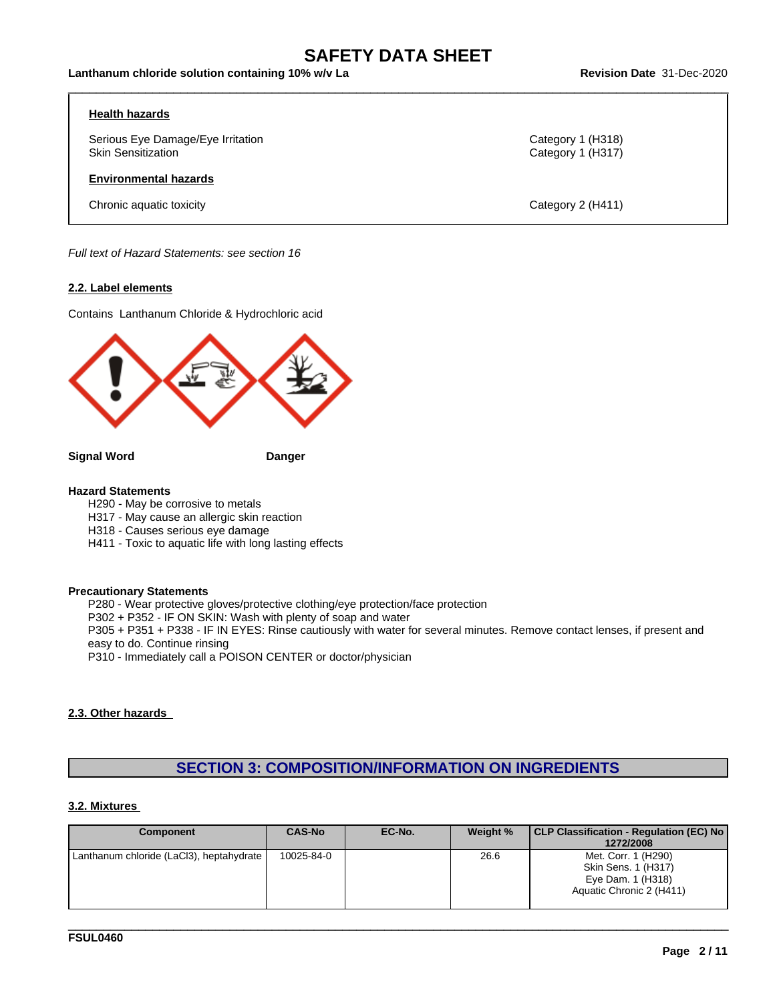$\_$  ,  $\_$  ,  $\_$  ,  $\_$  ,  $\_$  ,  $\_$  ,  $\_$  ,  $\_$  ,  $\_$  ,  $\_$  ,  $\_$  ,  $\_$  ,  $\_$  ,  $\_$  ,  $\_$  ,  $\_$  ,  $\_$  ,  $\_$  ,  $\_$  ,  $\_$  ,  $\_$  ,  $\_$  ,  $\_$  ,  $\_$  ,  $\_$  ,  $\_$  ,  $\_$  ,  $\_$  ,  $\_$  ,  $\_$  ,  $\_$  ,  $\_$  ,  $\_$  ,  $\_$  ,  $\_$  ,  $\_$  ,  $\_$  ,

#### **Health hazards**

Serious Eye Damage/Eye Irritation **Category 1 (H318)**<br>
Skin Sensitization Category 1 (H317)

#### **Environmental hazards**

Chronic aquatic toxicity Category 2 (H411)

Category 1 (H317)

*Full text of Hazard Statements: see section 16*

#### **2.2. Label elements**

Contains Lanthanum Chloride & Hydrochloric acid



**Signal Word Danger**

#### **Hazard Statements**

H290 - May be corrosive to metals

H317 - May cause an allergic skin reaction

- H318 Causes serious eye damage
- H411 Toxic to aquatic life with long lasting effects

#### **Precautionary Statements**

P280 - Wear protective gloves/protective clothing/eye protection/face protection

P302 + P352 - IF ON SKIN: Wash with plenty of soap and water

P305 + P351 + P338 - IF IN EYES: Rinse cautiously with water for several minutes. Remove contact lenses, if present and easy to do. Continue rinsing

P310 - Immediately call a POISON CENTER or doctor/physician

#### **2.3. Other hazards**

### **SECTION 3: COMPOSITION/INFORMATION ON INGREDIENTS**

#### **3.2. Mixtures**

| <b>Component</b>                         | <b>CAS-No</b> | EC-No. | Weight % | CLP Classification - Regulation (EC) No<br>1272/2008                                        |
|------------------------------------------|---------------|--------|----------|---------------------------------------------------------------------------------------------|
| Lanthanum chloride (LaCl3), heptahydrate | 10025-84-0    |        | 26.6     | Met. Corr. 1 (H290)<br>Skin Sens. 1 (H317)<br>Eye Dam. 1 (H318)<br>Aquatic Chronic 2 (H411) |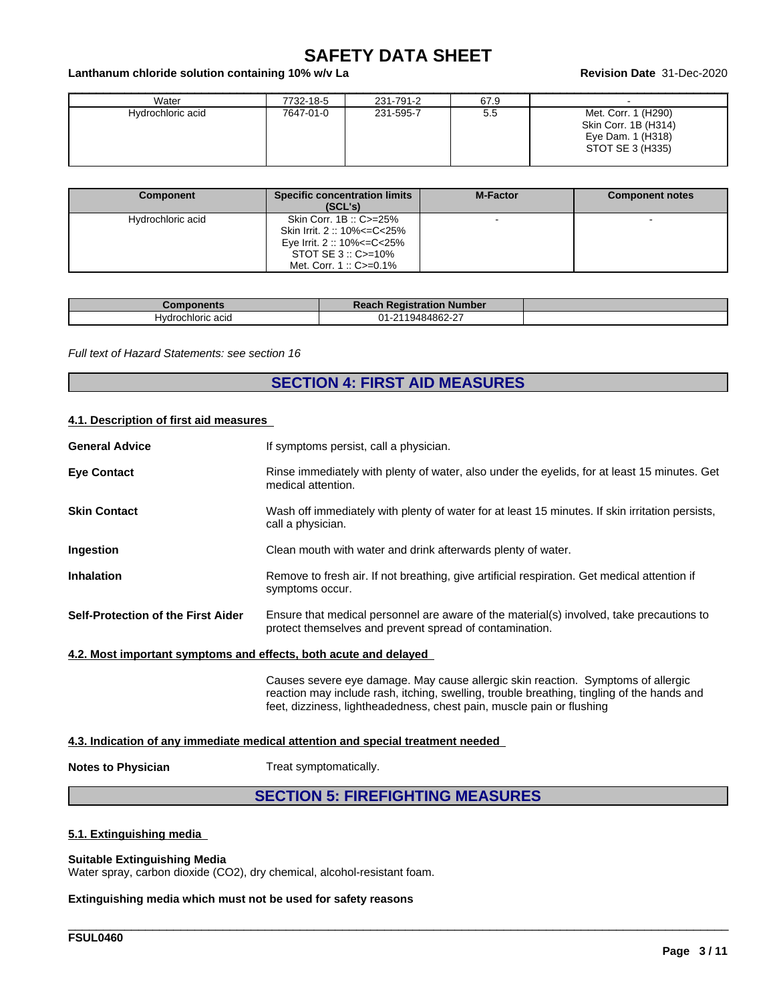#### **Lanthanum chloride solution containing 10% w/v La Revision Date** 31-Dec-2020

| Water             | 7732-18-5 | 231-791-2 | 67.9 |                                                                                      |
|-------------------|-----------|-----------|------|--------------------------------------------------------------------------------------|
| Hydrochloric acid | 7647-01-0 | 231-595-7 | 5.5  | Met. Corr. 1 (H290)<br>Skin Corr. 1B (H314)<br>Eye Dam. 1 (H318)<br>STOT SE 3 (H335) |

| Component         | <b>Specific concentration limits</b><br>(SCL's)                                                                                           | <b>M-Factor</b> | <b>Component notes</b> |
|-------------------|-------------------------------------------------------------------------------------------------------------------------------------------|-----------------|------------------------|
| Hydrochloric acid | Skin Corr. 1B: C>=25%<br>Skin Irrit. 2: 10% <= C< 25%<br>Eye Irrit. 2 :: 10% <= C < 25%<br>STOT SE $3::C>=10\%$<br>Met. Corr. 1:: C>=0.1% |                 |                        |

| วmponents           | Reach<br>∘aistration Number<br>TIL. |  |
|---------------------|-------------------------------------|--|
| Hvdr<br>hloric acid | 19484862-27<br>ำ ค                  |  |

*Full text of Hazard Statements: see section 16*

## **SECTION 4: FIRST AID MEASURES**

#### **4.1. Description of first aid measures**

| <b>General Advice</b>                                            | If symptoms persist, call a physician.                                                                                                              |
|------------------------------------------------------------------|-----------------------------------------------------------------------------------------------------------------------------------------------------|
| <b>Eye Contact</b>                                               | Rinse immediately with plenty of water, also under the eyelids, for at least 15 minutes. Get<br>medical attention.                                  |
| <b>Skin Contact</b>                                              | Wash off immediately with plenty of water for at least 15 minutes. If skin irritation persists,<br>call a physician.                                |
| Ingestion                                                        | Clean mouth with water and drink afterwards plenty of water.                                                                                        |
| <b>Inhalation</b>                                                | Remove to fresh air. If not breathing, give artificial respiration. Get medical attention if<br>symptoms occur.                                     |
| Self-Protection of the First Aider                               | Ensure that medical personnel are aware of the material(s) involved, take precautions to<br>protect themselves and prevent spread of contamination. |
| 4.2. Most important symptoms and effects, both acute and delayed |                                                                                                                                                     |
|                                                                  | Causes severe eye damage. May cause allergic skin reaction. Symptoms of allergic                                                                    |

### **4.3. Indication of any immediate medical attention and special treatment needed**

**Notes to Physician** Treat symptomatically.

## **SECTION 5: FIREFIGHTING MEASURES**

feet, dizziness, lightheadedness, chest pain, muscle pain or flushing

\_\_\_\_\_\_\_\_\_\_\_\_\_\_\_\_\_\_\_\_\_\_\_\_\_\_\_\_\_\_\_\_\_\_\_\_\_\_\_\_\_\_\_\_\_\_\_\_\_\_\_\_\_\_\_\_\_\_\_\_\_\_\_\_\_\_\_\_\_\_\_\_\_\_\_\_\_\_\_\_\_\_\_\_\_\_\_\_\_\_\_\_\_\_

reaction may include rash, itching, swelling, trouble breathing, tingling of the hands and

#### **5.1. Extinguishing media**

#### **Suitable Extinguishing Media**

Water spray, carbon dioxide (CO2), dry chemical, alcohol-resistant foam.

**Extinguishing media which must not be used for safety reasons**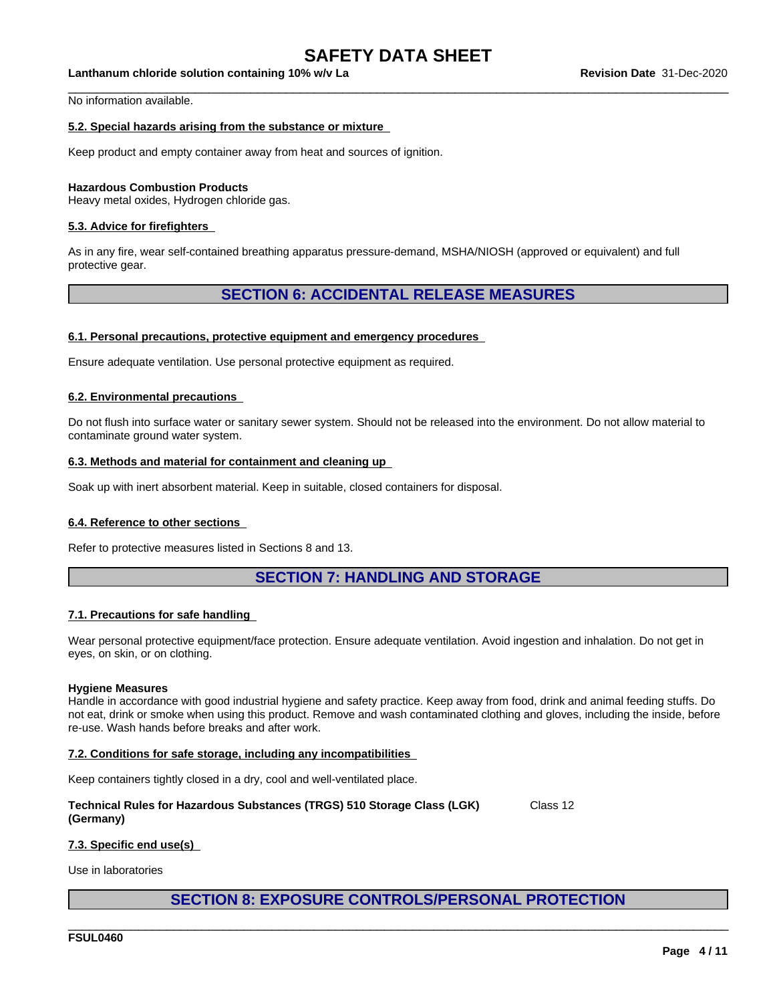$\_$  ,  $\_$  ,  $\_$  ,  $\_$  ,  $\_$  ,  $\_$  ,  $\_$  ,  $\_$  ,  $\_$  ,  $\_$  ,  $\_$  ,  $\_$  ,  $\_$  ,  $\_$  ,  $\_$  ,  $\_$  ,  $\_$  ,  $\_$  ,  $\_$  ,  $\_$  ,  $\_$  ,  $\_$  ,  $\_$  ,  $\_$  ,  $\_$  ,  $\_$  ,  $\_$  ,  $\_$  ,  $\_$  ,  $\_$  ,  $\_$  ,  $\_$  ,  $\_$  ,  $\_$  ,  $\_$  ,  $\_$  ,  $\_$  ,

**Lanthanum chloride solution containing 10% w/v La Revision Date** 31-Dec-2020

No information available.

#### **5.2. Special hazards arising from the substance or mixture**

Keep product and empty container away from heat and sources of ignition.

#### **Hazardous Combustion Products**

Heavy metal oxides, Hydrogen chloride gas.

#### **5.3. Advice for firefighters**

As in any fire, wear self-contained breathing apparatus pressure-demand, MSHA/NIOSH (approved or equivalent) and full protective gear.

### **SECTION 6: ACCIDENTAL RELEASE MEASURES**

#### **6.1. Personal precautions, protective equipment and emergency procedures**

Ensure adequate ventilation. Use personal protective equipment as required.

#### **6.2. Environmental precautions**

Do not flush into surface water or sanitary sewer system. Should not be released into the environment. Do not allow material to contaminate ground water system.

#### **6.3. Methods and material for containment and cleaning up**

Soak up with inert absorbent material. Keep in suitable, closed containers for disposal.

#### **6.4. Reference to other sections**

Refer to protective measures listed in Sections 8 and 13.

### **SECTION 7: HANDLING AND STORAGE**

#### **7.1. Precautions for safe handling**

Wear personal protective equipment/face protection. Ensure adequate ventilation. Avoid ingestion and inhalation. Do not get in eyes, on skin, or on clothing.

#### **Hygiene Measures**

Handle in accordance with good industrial hygiene and safety practice. Keep away from food, drink and animal feeding stuffs. Do not eat, drink or smoke when using this product. Remove and wash contaminated clothing and gloves, including the inside, before re-use. Wash hands before breaks and after work.

#### **7.2. Conditions for safe storage, including any incompatibilities**

Keep containers tightly closed in a dry, cool and well-ventilated place.

| Technical Rules for Hazardous Substances (TRGS) 510 Storage Class (LGK) | Class 12 |
|-------------------------------------------------------------------------|----------|
| (Germany)                                                               |          |

#### **7.3. Specific end use(s)**

Use in laboratories

### **SECTION 8: EXPOSURE CONTROLS/PERSONAL PROTECTION**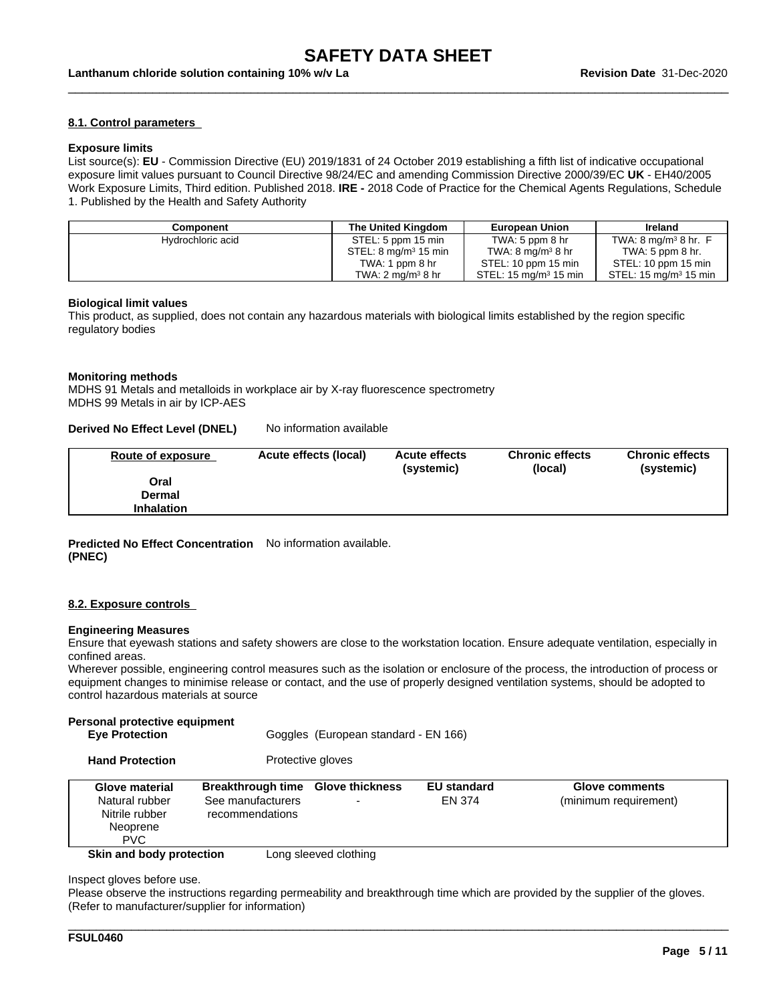$\_$  ,  $\_$  ,  $\_$  ,  $\_$  ,  $\_$  ,  $\_$  ,  $\_$  ,  $\_$  ,  $\_$  ,  $\_$  ,  $\_$  ,  $\_$  ,  $\_$  ,  $\_$  ,  $\_$  ,  $\_$  ,  $\_$  ,  $\_$  ,  $\_$  ,  $\_$  ,  $\_$  ,  $\_$  ,  $\_$  ,  $\_$  ,  $\_$  ,  $\_$  ,  $\_$  ,  $\_$  ,  $\_$  ,  $\_$  ,  $\_$  ,  $\_$  ,  $\_$  ,  $\_$  ,  $\_$  ,  $\_$  ,  $\_$  ,

#### **8.1. Control parameters**

#### **Exposure limits**

List source(s): **EU** - Commission Directive (EU) 2019/1831 of 24 October 2019 establishing a fifth list ofindicative occupational exposure limit values pursuant to Council Directive 98/24/EC and amending Commission Directive 2000/39/EC UK - EH40/2005 Work Exposure Limits, Third edition. Published 2018. **IRE -** 2018 Code of Practice for the Chemical Agents Regulations, Schedule 1. Published by the Health and Safety Authority

| Component         | The United Kinadom                 | <b>European Union</b>                | Ireland                                    |
|-------------------|------------------------------------|--------------------------------------|--------------------------------------------|
| Hydrochloric acid | STEL: 5 ppm 15 min                 | TWA: $5$ ppm $8$ hr                  | TWA: $8 \text{ mg/m}^3$ $8 \text{ hr}$ . F |
|                   | $STEL: 8$ mg/m <sup>3</sup> 15 min | TWA: $8 \text{ mg/m}^3 8 \text{ hr}$ | TWA: 5 ppm 8 hr.                           |
|                   | TWA: 1 ppm 8 hr                    | STEL: 10 ppm 15 min                  | STEL: 10 ppm 15 min                        |
|                   | TWA: 2 mg/m <sup>3</sup> 8 hr      | STEL: $15 \text{ mg/m}^3$ 15 min     | STEL: $15 \text{ mg/m}^3$ 15 min           |

#### **Biological limit values**

This product, as supplied, does not contain any hazardous materials with biological limits established by the region specific regulatory bodies

#### **Monitoring methods**

MDHS 91 Metals and metalloids in workplace air by X-ray fluorescence spectrometry MDHS 99 Metals in air by ICP-AES

#### **Derived No Effect Level (DNEL)** No information available

| Oral<br>Dermal | <b>Route of exposure</b> | Acute effects (local) | <b>Acute effects</b><br>(systemic) | <b>Chronic effects</b><br>(local) | <b>Chronic effects</b><br>(systemic) |
|----------------|--------------------------|-----------------------|------------------------------------|-----------------------------------|--------------------------------------|
|                |                          |                       |                                    |                                   |                                      |
|                |                          |                       |                                    |                                   |                                      |
|                | <b>Inhalation</b>        |                       |                                    |                                   |                                      |

#### **Predicted No Effect Concentration** No information available. **(PNEC)**

#### **8.2. Exposure controls**

#### **Engineering Measures**

Ensure that eyewash stations and safety showers are close to the workstation location. Ensure adequate ventilation, especially in confined areas.

Wherever possible, engineering control measures such as the isolation or enclosure of the process, the introduction of process or equipment changes to minimise release or contact, and the use of properly designed ventilation systems, should be adopted to control hazardous materials at source

#### **Personal protective equipment**

**Eye Protection Goggles** (European standard - EN 166)

**Hand Protection** Protective gloves

| Glove material<br>Natural rubber<br>Nitrile rubber<br>Neoprene<br><b>PVC</b> | <b>Breakthrough time Glove thickness</b><br>See manufacturers<br>recommendations |                       | <b>EU standard</b><br>EN 374 | <b>Glove comments</b><br>(minimum requirement) |
|------------------------------------------------------------------------------|----------------------------------------------------------------------------------|-----------------------|------------------------------|------------------------------------------------|
| Skin and body protection                                                     |                                                                                  | Long sleeved clothing |                              |                                                |

Inspect gloves before use.

Please observe the instructions regarding permeability and breakthrough time which are provided by the supplier of the gloves. (Refer to manufacturer/supplier for information)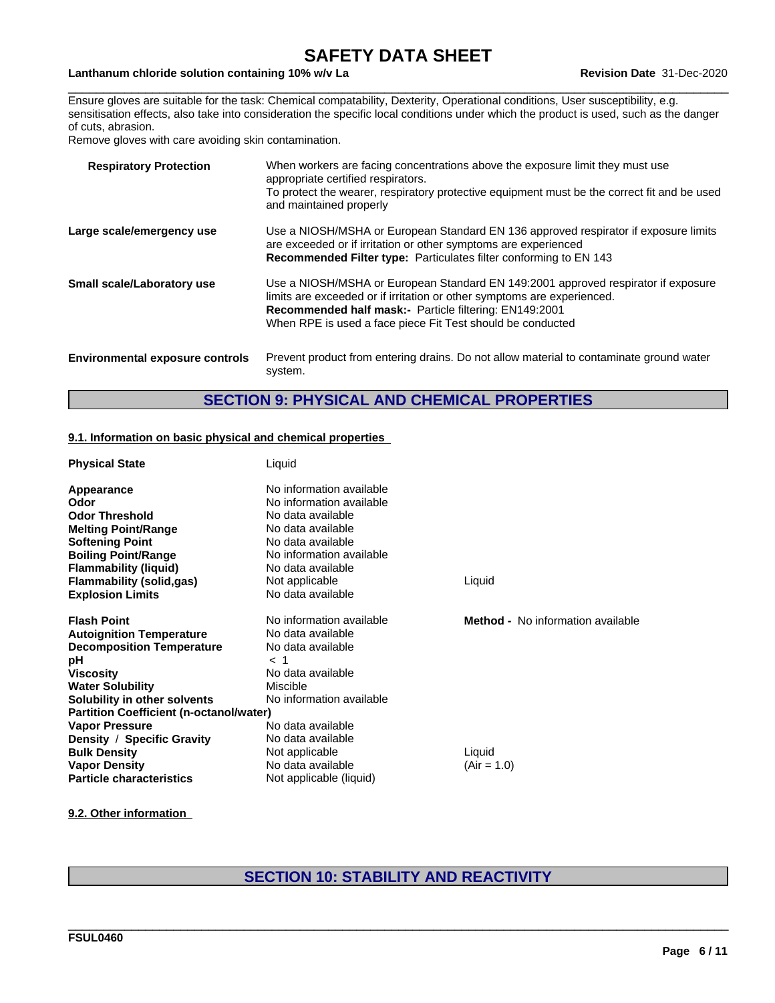$\_$  ,  $\_$  ,  $\_$  ,  $\_$  ,  $\_$  ,  $\_$  ,  $\_$  ,  $\_$  ,  $\_$  ,  $\_$  ,  $\_$  ,  $\_$  ,  $\_$  ,  $\_$  ,  $\_$  ,  $\_$  ,  $\_$  ,  $\_$  ,  $\_$  ,  $\_$  ,  $\_$  ,  $\_$  ,  $\_$  ,  $\_$  ,  $\_$  ,  $\_$  ,  $\_$  ,  $\_$  ,  $\_$  ,  $\_$  ,  $\_$  ,  $\_$  ,  $\_$  ,  $\_$  ,  $\_$  ,  $\_$  ,  $\_$  ,

### **Lanthanum chloride solution containing 10% w/v La Revision Date** 31-Dec-2020

Ensure gloves are suitable for the task: Chemical compatability, Dexterity, Operational conditions, User susceptibility, e.g. sensitisation effects, also take into consideration the specific local conditions under which the product is used, such as the danger of cuts, abrasion.

Remove gloves with care avoiding skin contamination.

| <b>Respiratory Protection</b>          | When workers are facing concentrations above the exposure limit they must use<br>appropriate certified respirators.<br>To protect the wearer, respiratory protective equipment must be the correct fit and be used<br>and maintained properly                                               |
|----------------------------------------|---------------------------------------------------------------------------------------------------------------------------------------------------------------------------------------------------------------------------------------------------------------------------------------------|
| Large scale/emergency use              | Use a NIOSH/MSHA or European Standard EN 136 approved respirator if exposure limits<br>are exceeded or if irritation or other symptoms are experienced<br>Recommended Filter type: Particulates filter conforming to EN 143                                                                 |
| Small scale/Laboratory use             | Use a NIOSH/MSHA or European Standard EN 149:2001 approved respirator if exposure<br>limits are exceeded or if irritation or other symptoms are experienced.<br><b>Recommended half mask:-</b> Particle filtering: EN149:2001<br>When RPE is used a face piece Fit Test should be conducted |
| <b>Environmental exposure controls</b> | Prevent product from entering drains. Do not allow material to contaminate ground water<br>system.                                                                                                                                                                                          |

## **SECTION 9: PHYSICAL AND CHEMICAL PROPERTIES**

#### **9.1. Information on basic physical and chemical properties**

| <b>Physical State</b>                          | Liquid                   |                                          |
|------------------------------------------------|--------------------------|------------------------------------------|
| Appearance                                     | No information available |                                          |
| Odor                                           | No information available |                                          |
| <b>Odor Threshold</b>                          | No data available        |                                          |
| <b>Melting Point/Range</b>                     | No data available        |                                          |
| <b>Softening Point</b>                         | No data available        |                                          |
| <b>Boiling Point/Range</b>                     | No information available |                                          |
| <b>Flammability (liquid)</b>                   | No data available        |                                          |
| <b>Flammability (solid,gas)</b>                | Not applicable           | Liquid                                   |
| <b>Explosion Limits</b>                        | No data available        |                                          |
| <b>Flash Point</b>                             | No information available | <b>Method -</b> No information available |
| <b>Autoignition Temperature</b>                | No data available        |                                          |
| <b>Decomposition Temperature</b>               | No data available        |                                          |
| рH                                             | $\lt$                    |                                          |
| <b>Viscosity</b>                               | No data available        |                                          |
| <b>Water Solubility</b>                        | Miscible                 |                                          |
| Solubility in other solvents                   | No information available |                                          |
| <b>Partition Coefficient (n-octanol/water)</b> |                          |                                          |
| <b>Vapor Pressure</b>                          | No data available        |                                          |
| Density / Specific Gravity                     | No data available        |                                          |
| <b>Bulk Density</b>                            | Not applicable           | Liquid                                   |
| <b>Vapor Density</b>                           | No data available        | $(Air = 1.0)$                            |
| <b>Particle characteristics</b>                | Not applicable (liquid)  |                                          |

**9.2. Other information**

## **SECTION 10: STABILITY AND REACTIVITY**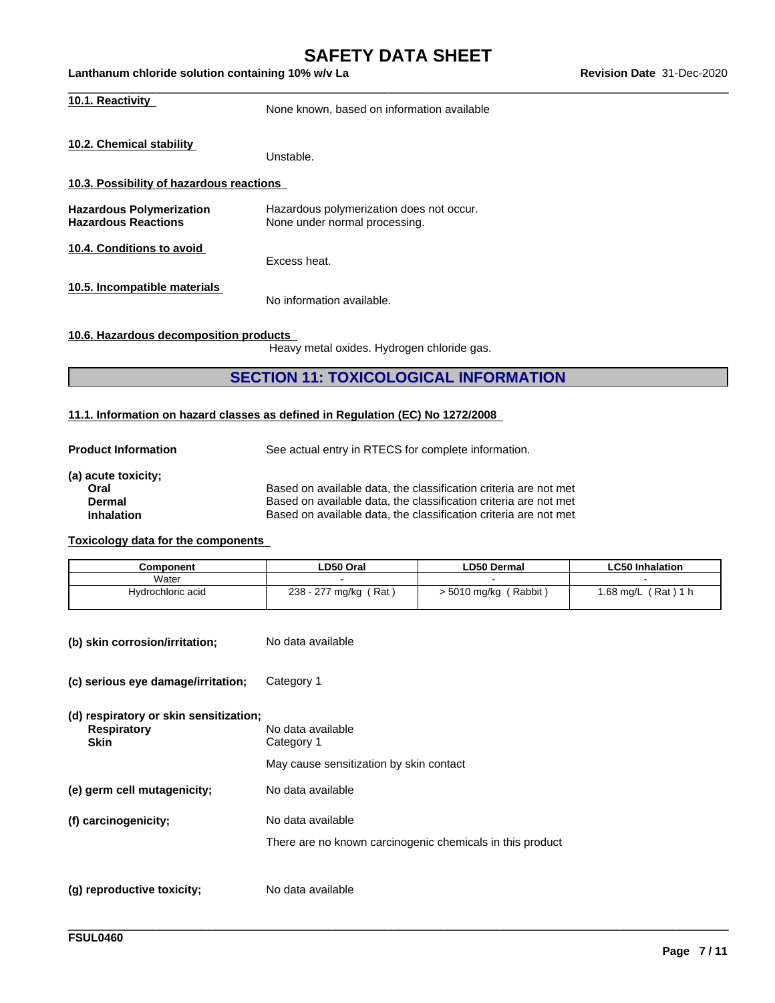$\_$  ,  $\_$  ,  $\_$  ,  $\_$  ,  $\_$  ,  $\_$  ,  $\_$  ,  $\_$  ,  $\_$  ,  $\_$  ,  $\_$  ,  $\_$  ,  $\_$  ,  $\_$  ,  $\_$  ,  $\_$  ,  $\_$  ,  $\_$  ,  $\_$  ,  $\_$  ,  $\_$  ,  $\_$  ,  $\_$  ,  $\_$  ,  $\_$  ,  $\_$  ,  $\_$  ,  $\_$  ,  $\_$  ,  $\_$  ,  $\_$  ,  $\_$  ,  $\_$  ,  $\_$  ,  $\_$  ,  $\_$  ,  $\_$  ,

| 10.1. Reactivity                                              | None known, based on information available                                |
|---------------------------------------------------------------|---------------------------------------------------------------------------|
| 10.2. Chemical stability                                      | Unstable.                                                                 |
| 10.3. Possibility of hazardous reactions                      |                                                                           |
| <b>Hazardous Polymerization</b><br><b>Hazardous Reactions</b> | Hazardous polymerization does not occur.<br>None under normal processing. |
| 10.4. Conditions to avoid                                     | Excess heat.                                                              |
| 10.5. Incompatible materials                                  |                                                                           |

No information available.

**10.6. Hazardous decomposition products**

Heavy metal oxides. Hydrogen chloride gas.

### **SECTION 11: TOXICOLOGICAL INFORMATION**

#### **11.1. Information on hazard classes as defined in Regulation (EC) No 1272/2008**

| <b>Product Information</b> | See actual entry in RTECS for complete information.              |
|----------------------------|------------------------------------------------------------------|
| (a) acute toxicity;        |                                                                  |
| Oral                       | Based on available data, the classification criteria are not met |
| Dermal                     | Based on available data, the classification criteria are not met |
| <b>Inhalation</b>          | Based on available data, the classification criteria are not met |

#### **Toxicology data for the components**

| Component         | LD50 Oral                                            | <b>LD50 Dermal</b>          | <b>LC50 Inhalation</b>     |
|-------------------|------------------------------------------------------|-----------------------------|----------------------------|
| Water             |                                                      |                             |                            |
| Hvdrochloric acid | . Rat :<br>238<br>- 277<br>mg/kg<br>. . <i>. .</i> . | ' Rabbit )<br>· 5010 mg/kg( | Rat)<br>$.68 \text{ mg/L}$ |

\_\_\_\_\_\_\_\_\_\_\_\_\_\_\_\_\_\_\_\_\_\_\_\_\_\_\_\_\_\_\_\_\_\_\_\_\_\_\_\_\_\_\_\_\_\_\_\_\_\_\_\_\_\_\_\_\_\_\_\_\_\_\_\_\_\_\_\_\_\_\_\_\_\_\_\_\_\_\_\_\_\_\_\_\_\_\_\_\_\_\_\_\_\_

- **(b) skin corrosion/irritation;** No data available
- **(c) serious eye damage/irritation;** Category 1

**(d) respiratory or skin sensitization; Respiratory** No data available **Skin** Category 1 May cause sensitization by skin contact **(e) germ cell mutagenicity;** No data available **(f) carcinogenicity;** No data available There are no known carcinogenic chemicals in this product **(g) reproductive toxicity;** No data available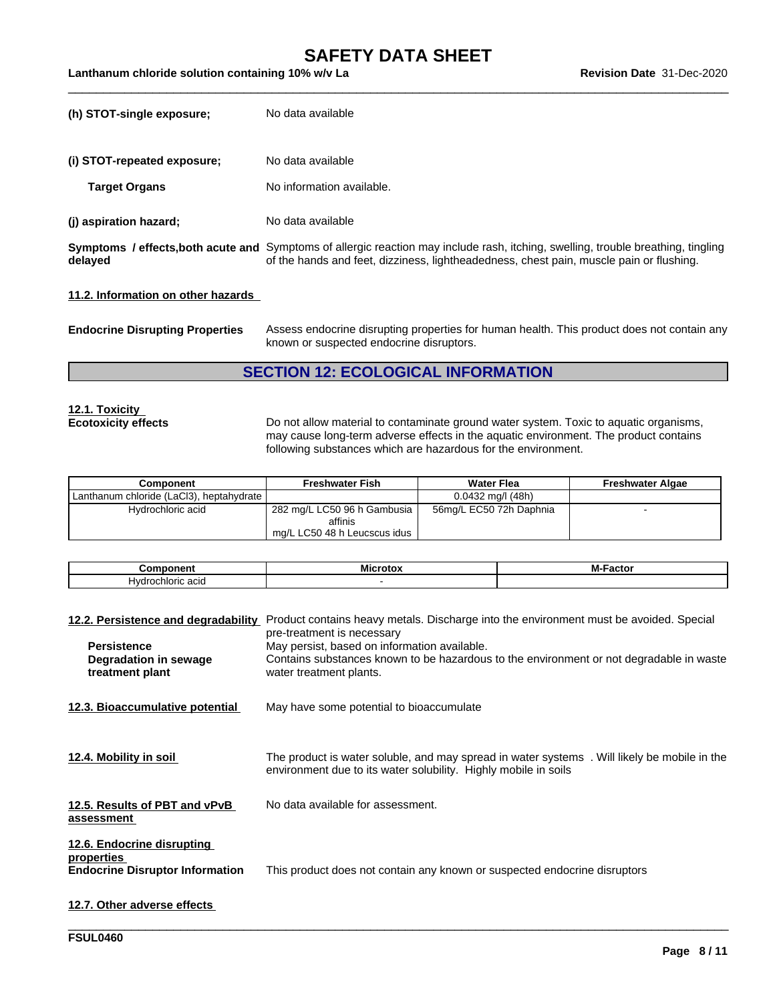$\_$  ,  $\_$  ,  $\_$  ,  $\_$  ,  $\_$  ,  $\_$  ,  $\_$  ,  $\_$  ,  $\_$  ,  $\_$  ,  $\_$  ,  $\_$  ,  $\_$  ,  $\_$  ,  $\_$  ,  $\_$  ,  $\_$  ,  $\_$  ,  $\_$  ,  $\_$  ,  $\_$  ,  $\_$  ,  $\_$  ,  $\_$  ,  $\_$  ,  $\_$  ,  $\_$  ,  $\_$  ,  $\_$  ,  $\_$  ,  $\_$  ,  $\_$  ,  $\_$  ,  $\_$  ,  $\_$  ,  $\_$  ,  $\_$  ,

**Lanthanum chloride solution containing 10% w/v La Revision Date** 31-Dec-2020

| (h) STOT-single exposure;          | No data available                                                                                                                                                                                                            |
|------------------------------------|------------------------------------------------------------------------------------------------------------------------------------------------------------------------------------------------------------------------------|
| (i) STOT-repeated exposure;        | No data available                                                                                                                                                                                                            |
| <b>Target Organs</b>               | No information available.                                                                                                                                                                                                    |
| (j) aspiration hazard;             | No data available                                                                                                                                                                                                            |
| delayed                            | Symptoms / effects, both acute and Symptoms of allergic reaction may include rash, itching, swelling, trouble breathing, tingling<br>of the hands and feet, dizziness, lightheadedness, chest pain, muscle pain or flushing. |
| 11.2. Information on other hazards |                                                                                                                                                                                                                              |

**Endocrine Disrupting Properties** Assess endocrine disrupting properties for human health. This product does not contain any known or suspected endocrine disruptors.

## **SECTION 12: ECOLOGICAL INFORMATION**

## **12.1. Toxicity**

**Ecotoxicity effects** Do not allow material to contaminate ground water system. Toxic to aquatic organisms, may cause long-term adverse effects in the aquatic environment. The product contains following substances which are hazardous for the environment.

| <b>Component</b>                         | <b>Freshwater Fish</b>       | <b>Water Flea</b>       | <b>Freshwater Algae</b> |
|------------------------------------------|------------------------------|-------------------------|-------------------------|
| Lanthanum chloride (LaCl3), heptahydrate |                              | $0.0432$ mg/l (48h)     |                         |
| Hydrochloric acid                        | 282 mg/L LC50 96 h Gambusia  | 56mg/L EC50 72h Daphnia |                         |
|                                          | affinis                      |                         |                         |
|                                          | mg/L LC50 48 h Leucscus idus |                         |                         |

| 'nп<br>----<br>ш                 | <br>MI | -- -<br>. |
|----------------------------------|--------|-----------|
| acıc<br>H۷<br>unric<br>'o'r<br>. |        |           |

| 12.2. Persistence and degradability                                                | Product contains heavy metals. Discharge into the environment must be avoided. Special<br>pre-treatment is necessary                                           |
|------------------------------------------------------------------------------------|----------------------------------------------------------------------------------------------------------------------------------------------------------------|
| <b>Persistence</b>                                                                 | May persist, based on information available.                                                                                                                   |
| Degradation in sewage<br>treatment plant                                           | Contains substances known to be hazardous to the environment or not degradable in waste<br>water treatment plants.                                             |
| 12.3. Bioaccumulative potential                                                    | May have some potential to bioaccumulate                                                                                                                       |
| 12.4. Mobility in soil                                                             | The product is water soluble, and may spread in water systems. Will likely be mobile in the<br>environment due to its water solubility. Highly mobile in soils |
| 12.5. Results of PBT and vPvB<br>assessment                                        | No data available for assessment.                                                                                                                              |
| 12.6. Endocrine disrupting<br>properties<br><b>Endocrine Disruptor Information</b> | This product does not contain any known or suspected endocrine disruptors                                                                                      |

\_\_\_\_\_\_\_\_\_\_\_\_\_\_\_\_\_\_\_\_\_\_\_\_\_\_\_\_\_\_\_\_\_\_\_\_\_\_\_\_\_\_\_\_\_\_\_\_\_\_\_\_\_\_\_\_\_\_\_\_\_\_\_\_\_\_\_\_\_\_\_\_\_\_\_\_\_\_\_\_\_\_\_\_\_\_\_\_\_\_\_\_\_\_

### **12.7. Other adverse effects**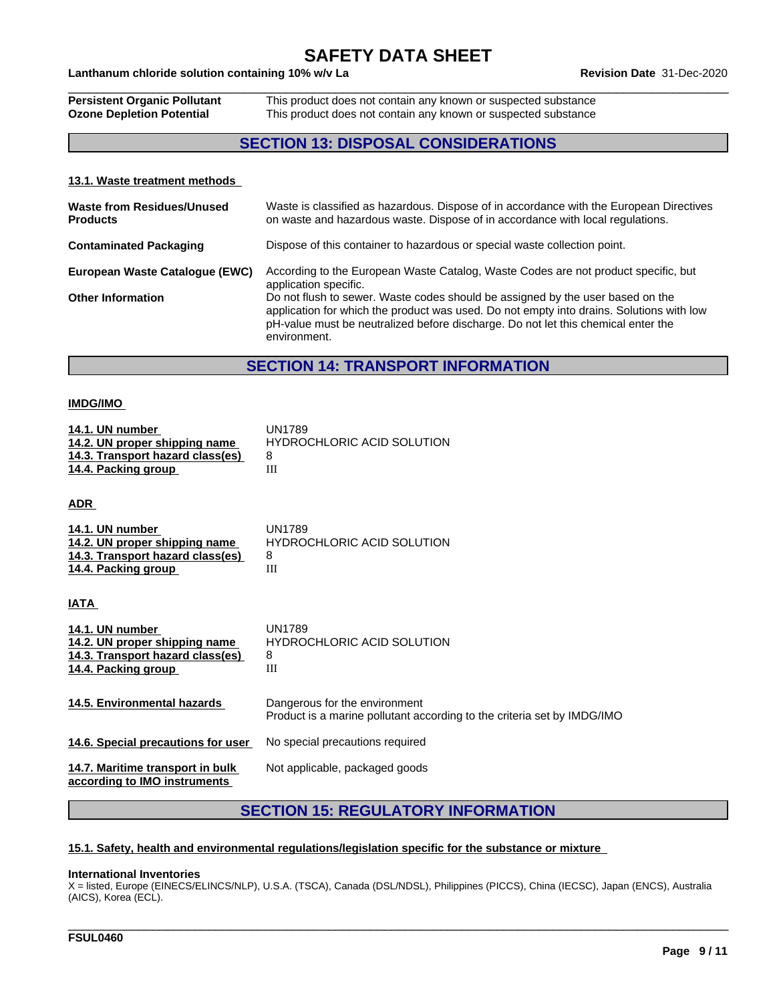### **Lanthanum chloride solution containing 10% w/v La Revision Date** 31-Dec-2020

| <b>Persistent Organic Pollutant</b> | This product does not contain any known or suspected substance |
|-------------------------------------|----------------------------------------------------------------|
| <b>Ozone Depletion Potential</b>    | This product does not contain any known or suspected substance |

## **SECTION 13: DISPOSAL CONSIDERATIONS**

#### **13.1. Waste treatment methods**

| <b>Waste from Residues/Unused</b><br><b>Products</b> | Waste is classified as hazardous. Dispose of in accordance with the European Directives<br>on waste and hazardous waste. Dispose of in accordance with local regulations.                                                                                                       |
|------------------------------------------------------|---------------------------------------------------------------------------------------------------------------------------------------------------------------------------------------------------------------------------------------------------------------------------------|
| <b>Contaminated Packaging</b>                        | Dispose of this container to hazardous or special waste collection point.                                                                                                                                                                                                       |
| European Waste Catalogue (EWC)                       | According to the European Waste Catalog, Waste Codes are not product specific, but<br>application specific.                                                                                                                                                                     |
| <b>Other Information</b>                             | Do not flush to sewer. Waste codes should be assigned by the user based on the<br>application for which the product was used. Do not empty into drains. Solutions with low<br>pH-value must be neutralized before discharge. Do not let this chemical enter the<br>environment. |

### **SECTION 14: TRANSPORT INFORMATION**

#### **IMDG/IMO**

| 14.1. UN number<br>14.2. UN proper shipping name<br>14.3. Transport hazard class(es)<br>14.4. Packing group | <b>UN1789</b><br><b>HYDROCHLORIC ACID SOLUTION</b><br>8<br>III                                           |
|-------------------------------------------------------------------------------------------------------------|----------------------------------------------------------------------------------------------------------|
| <u>ADR_</u>                                                                                                 |                                                                                                          |
| 14.1. UN number<br>14.2. UN proper shipping name<br>14.3. Transport hazard class(es)<br>14.4. Packing group | <b>UN1789</b><br><b>HYDROCHLORIC ACID SOLUTION</b><br>8<br>Ш                                             |
| IATA                                                                                                        |                                                                                                          |
| 14.1. UN number<br>14.2. UN proper shipping name<br>14.3. Transport hazard class(es)<br>14.4. Packing group | <b>UN1789</b><br><b>HYDROCHLORIC ACID SOLUTION</b><br>8<br>Ш                                             |
| 14.5. Environmental hazards                                                                                 | Dangerous for the environment<br>Product is a marine pollutant according to the criteria set by IMDG/IMO |
| 14.6. Special precautions for user                                                                          | No special precautions required                                                                          |
| 14.7. Maritime transport in bulk<br>according to IMO instruments                                            | Not applicable, packaged goods                                                                           |

## **SECTION 15: REGULATORY INFORMATION**

#### **15.1. Safety, health and environmental regulations/legislation specific for the substance or mixture**

#### **International Inventories**

X = listed, Europe (EINECS/ELINCS/NLP), U.S.A. (TSCA), Canada (DSL/NDSL), Philippines (PICCS), China (IECSC), Japan (ENCS), Australia (AICS), Korea (ECL).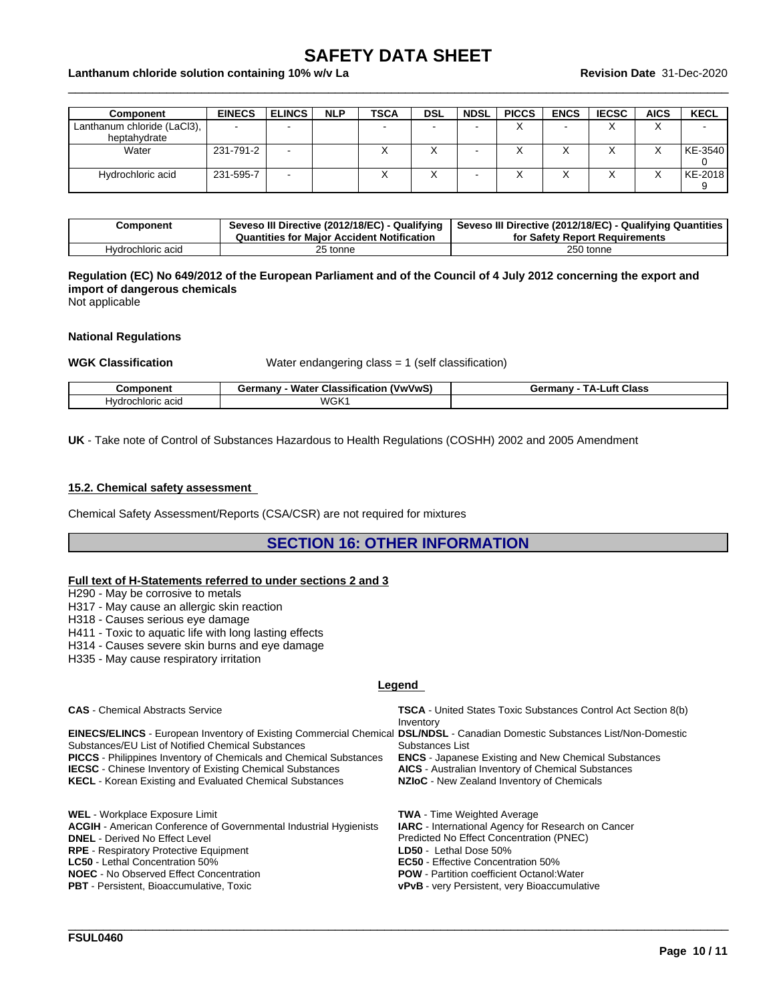$\_$  ,  $\_$  ,  $\_$  ,  $\_$  ,  $\_$  ,  $\_$  ,  $\_$  ,  $\_$  ,  $\_$  ,  $\_$  ,  $\_$  ,  $\_$  ,  $\_$  ,  $\_$  ,  $\_$  ,  $\_$  ,  $\_$  ,  $\_$  ,  $\_$  ,  $\_$  ,  $\_$  ,  $\_$  ,  $\_$  ,  $\_$  ,  $\_$  ,  $\_$  ,  $\_$  ,  $\_$  ,  $\_$  ,  $\_$  ,  $\_$  ,  $\_$  ,  $\_$  ,  $\_$  ,  $\_$  ,  $\_$  ,  $\_$  ,

#### **Lanthanum chloride solution containing 10% w/v La Revision Date** 31-Dec-2020

| <b>Component</b>            | <b>EINECS</b> | <b>ELINCS</b>            | <b>NLP</b> | <b>TSCA</b> | <b>DSL</b> | <b>NDSL</b> | <b>PICCS</b> | <b>ENCS</b> | <b>IECSC</b> | <b>AICS</b> | <b>KECL</b>              |
|-----------------------------|---------------|--------------------------|------------|-------------|------------|-------------|--------------|-------------|--------------|-------------|--------------------------|
| Lanthanum chloride (LaCl3), | $\sim$        |                          |            |             |            |             |              | -           |              | ⌒           | $\overline{\phantom{0}}$ |
| heptahydrate                |               |                          |            |             |            |             |              |             |              |             |                          |
| Water                       | 231-791-2     | $\overline{\phantom{a}}$ |            |             |            |             |              | ↗           |              |             | KE-3540                  |
|                             |               |                          |            |             |            |             |              |             |              |             |                          |
| Hydrochloric acid           | 231-595-7     | $\overline{\phantom{a}}$ |            |             | ⌒          |             |              | $\lambda$   |              |             | KE-2018                  |
|                             |               |                          |            |             |            |             |              |             |              |             |                          |

| Component         | Seveso III Directive (2012/18/EC) - Qualifying<br>Quantities for Maior Accident Notification | Seveso III Directive (2012/18/EC) - Qualifying Quantities<br>for Safety Report Requirements |
|-------------------|----------------------------------------------------------------------------------------------|---------------------------------------------------------------------------------------------|
| Hvdrochloric acid | 25 tonne                                                                                     | 250 tonne                                                                                   |

#### Regulation (EC) No 649/2012 of the European Parliament and of the Council of 4 July 2012 concerning the export and **import of dangerous chemicals**

Not applicable

#### **National Regulations**

**WGK Classification** Water endangering class = 1 (self classification)

| componen'.            | <br>Water<br>$-$<br><br>`VwVwS.<br>ermanvث<br><b>Classificatio</b> | Class<br>_uft<br>Germany<br>ΤΔ. |
|-----------------------|--------------------------------------------------------------------|---------------------------------|
| acid<br>H∨dr<br>าเดฑด | WGK                                                                |                                 |

**UK** - Take note of Control of Substances Hazardous to Health Regulations (COSHH) 2002 and 2005 Amendment

#### **15.2. Chemical safety assessment**

Chemical Safety Assessment/Reports (CSA/CSR) are not required for mixtures

### **SECTION 16: OTHER INFORMATION**

#### **Full text of H-Statements referred to undersections 2 and 3**

H290 - May be corrosive to metals

H317 - May cause an allergic skin reaction

H318 - Causes serious eye damage

H411 - Toxic to aquatic life with long lasting effects

H314 - Causes severe skin burns and eye damage

H335 - May cause respiratory irritation

#### **Legend**

| <b>CAS</b> - Chemical Abstracts Service                                                                                      | <b>TSCA</b> - United States Toxic Substances Control Act Section 8(b) |
|------------------------------------------------------------------------------------------------------------------------------|-----------------------------------------------------------------------|
|                                                                                                                              | Inventory                                                             |
| EINECS/ELINCS - European Inventory of Existing Commercial Chemical DSL/NDSL - Canadian Domestic Substances List/Non-Domestic |                                                                       |
| Substances/EU List of Notified Chemical Substances                                                                           | Substances List                                                       |
| <b>PICCS</b> - Philippines Inventory of Chemicals and Chemical Substances                                                    | <b>ENCS</b> - Japanese Existing and New Chemical Substances           |
| <b>IECSC</b> - Chinese Inventory of Existing Chemical Substances                                                             | <b>AICS</b> - Australian Inventory of Chemical Substances             |
| <b>KECL</b> - Korean Existing and Evaluated Chemical Substances                                                              | NZIoC - New Zealand Inventory of Chemicals                            |
|                                                                                                                              |                                                                       |
| <b>WEL</b> - Workplace Exposure Limit                                                                                        | <b>TWA</b> - Time Weighted Average                                    |
| <b>ACGIH</b> - American Conference of Governmental Industrial Hygienists                                                     | <b>IARC</b> - International Agency for Research on Cancer             |
| <b>DNEL</b> - Derived No Effect Level                                                                                        | Predicted No Effect Concentration (PNEC)                              |
| <b>RPE</b> - Respiratory Protective Equipment                                                                                | LD50 - Lethal Dose 50%                                                |
| <b>LC50</b> - Lethal Concentration 50%                                                                                       | <b>EC50</b> - Effective Concentration 50%                             |
| <b>NOEC</b> - No Observed Effect Concentration                                                                               | <b>POW</b> - Partition coefficient Octanol: Water                     |
| <b>PBT</b> - Persistent, Bioaccumulative, Toxic                                                                              | <b>vPvB</b> - very Persistent, very Bioaccumulative                   |